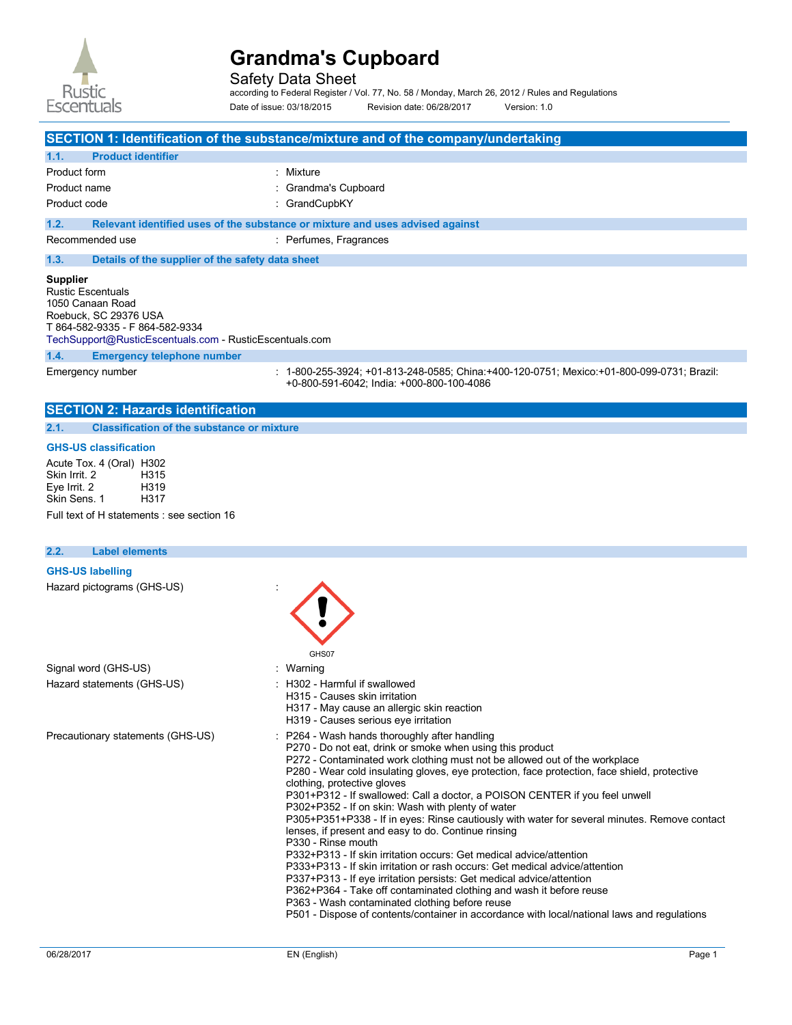

Safety Data Sheet

according to Federal Register / Vol. 77, No. 58 / Monday, March 26, 2012 / Rules and Regulations Date of issue: 03/18/2015 Revision date: 06/28/2017 Version: 1.0

|                                                                                                                                                                                        | SECTION 1: Identification of the substance/mixture and of the company/undertaking                                                      |
|----------------------------------------------------------------------------------------------------------------------------------------------------------------------------------------|----------------------------------------------------------------------------------------------------------------------------------------|
| 1.1.<br><b>Product identifier</b>                                                                                                                                                      |                                                                                                                                        |
| Product form                                                                                                                                                                           | : Mixture                                                                                                                              |
| Product name                                                                                                                                                                           | Grandma's Cupboard                                                                                                                     |
| Product code                                                                                                                                                                           | : GrandCupbKY                                                                                                                          |
| 1.2.                                                                                                                                                                                   | Relevant identified uses of the substance or mixture and uses advised against                                                          |
| Recommended use                                                                                                                                                                        | : Perfumes, Fragrances                                                                                                                 |
| Details of the supplier of the safety data sheet<br>1.3.                                                                                                                               |                                                                                                                                        |
| <b>Supplier</b><br><b>Rustic Escentuals</b><br>1050 Canaan Road<br>Roebuck, SC 29376 USA<br>T 864-582-9335 - F 864-582-9334<br>TechSupport@RusticEscentuals.com - RusticEscentuals.com |                                                                                                                                        |
| 1.4.<br><b>Emergency telephone number</b>                                                                                                                                              |                                                                                                                                        |
| Emergency number                                                                                                                                                                       | : 1-800-255-3924; +01-813-248-0585; China:+400-120-0751; Mexico:+01-800-099-0731; Brazil:<br>+0-800-591-6042; India: +000-800-100-4086 |
| <b>SECTION 2: Hazards identification</b>                                                                                                                                               |                                                                                                                                        |
| <b>Classification of the substance or mixture</b><br>2.1.                                                                                                                              |                                                                                                                                        |
| <b>GHS-US classification</b><br>Acute Tox. 4 (Oral) H302<br>Skin Irrit. 2<br>H315<br>Eye Irrit. 2<br>H319<br>Skin Sens. 1<br>H317<br>Full text of H statements : see section 16        |                                                                                                                                        |
| 2.2.<br><b>Label elements</b>                                                                                                                                                          |                                                                                                                                        |
| <b>GHS-US labelling</b><br>Hazard pictograms (GHS-US)                                                                                                                                  |                                                                                                                                        |

|                                   | GHS07                                                                                                                                                                                                                                                                                                                                                                                                                                                                                                                                                                                                                                                                                                                                                                                                                                                                                                                                                                                                                                                                                          |
|-----------------------------------|------------------------------------------------------------------------------------------------------------------------------------------------------------------------------------------------------------------------------------------------------------------------------------------------------------------------------------------------------------------------------------------------------------------------------------------------------------------------------------------------------------------------------------------------------------------------------------------------------------------------------------------------------------------------------------------------------------------------------------------------------------------------------------------------------------------------------------------------------------------------------------------------------------------------------------------------------------------------------------------------------------------------------------------------------------------------------------------------|
| Signal word (GHS-US)              | : Warning                                                                                                                                                                                                                                                                                                                                                                                                                                                                                                                                                                                                                                                                                                                                                                                                                                                                                                                                                                                                                                                                                      |
| Hazard statements (GHS-US)        | : H302 - Harmful if swallowed<br>H315 - Causes skin irritation<br>H317 - May cause an allergic skin reaction<br>H319 - Causes serious eye irritation                                                                                                                                                                                                                                                                                                                                                                                                                                                                                                                                                                                                                                                                                                                                                                                                                                                                                                                                           |
| Precautionary statements (GHS-US) | : P264 - Wash hands thoroughly after handling<br>P270 - Do not eat, drink or smoke when using this product<br>P272 - Contaminated work clothing must not be allowed out of the workplace<br>P280 - Wear cold insulating gloves, eye protection, face protection, face shield, protective<br>clothing, protective gloves<br>P301+P312 - If swallowed: Call a doctor, a POISON CENTER if you feel unwell<br>P302+P352 - If on skin: Wash with plenty of water<br>P305+P351+P338 - If in eyes: Rinse cautiously with water for several minutes. Remove contact<br>lenses, if present and easy to do. Continue rinsing<br>P330 - Rinse mouth<br>P332+P313 - If skin irritation occurs: Get medical advice/attention<br>P333+P313 - If skin irritation or rash occurs: Get medical advice/attention<br>P337+P313 - If eye irritation persists: Get medical advice/attention<br>P362+P364 - Take off contaminated clothing and wash it before reuse<br>P363 - Wash contaminated clothing before reuse<br>P501 - Dispose of contents/container in accordance with local/national laws and regulations |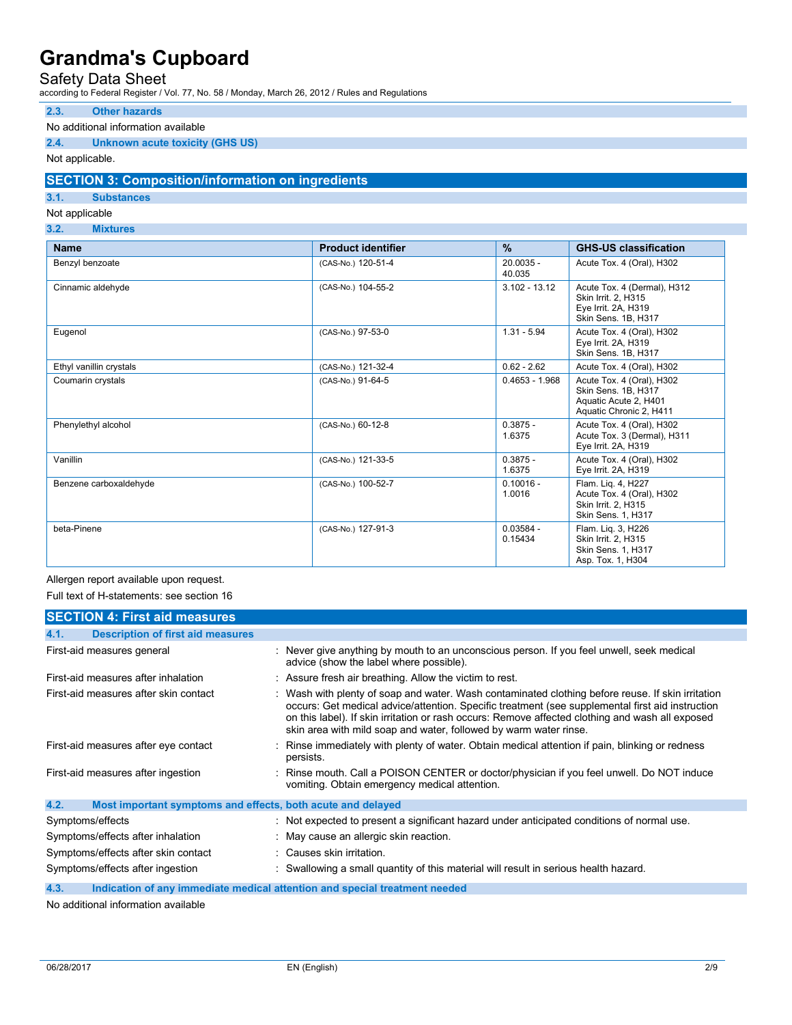## Safety Data Sheet

according to Federal Register / Vol. 77, No. 58 / Monday, March 26, 2012 / Rules and Regulations

#### **2.3. Other hazards**

### No additional information available

### **2.4. Unknown acute toxicity (GHS US)**

Not applicable.

### **SECTION 3: Composition/information on ingredients**

### **3.1. Substances**

Not applicable

**3.2. Mixtures** 

| <b>Name</b>             | <b>Product identifier</b> | $\frac{9}{6}$          | <b>GHS-US classification</b>                                                                         |
|-------------------------|---------------------------|------------------------|------------------------------------------------------------------------------------------------------|
| Benzyl benzoate         | (CAS-No.) 120-51-4        | $20.0035 -$<br>40.035  | Acute Tox. 4 (Oral), H302                                                                            |
| Cinnamic aldehyde       | (CAS-No.) 104-55-2        | $3.102 - 13.12$        | Acute Tox. 4 (Dermal), H312<br>Skin Irrit. 2, H315<br>Eye Irrit. 2A, H319<br>Skin Sens, 1B, H317     |
| Eugenol                 | (CAS-No.) 97-53-0         | $1.31 - 5.94$          | Acute Tox. 4 (Oral), H302<br>Eye Irrit. 2A, H319<br>Skin Sens. 1B, H317                              |
| Ethyl vanillin crystals | (CAS-No.) 121-32-4        | $0.62 - 2.62$          | Acute Tox. 4 (Oral), H302                                                                            |
| Coumarin crystals       | (CAS-No.) 91-64-5         | $0.4653 - 1.968$       | Acute Tox. 4 (Oral), H302<br>Skin Sens. 1B, H317<br>Aquatic Acute 2, H401<br>Aquatic Chronic 2, H411 |
| Phenylethyl alcohol     | (CAS-No.) 60-12-8         | $0.3875 -$<br>1.6375   | Acute Tox. 4 (Oral), H302<br>Acute Tox. 3 (Dermal), H311<br>Eye Irrit. 2A, H319                      |
| Vanillin                | (CAS-No.) 121-33-5        | $0.3875 -$<br>1.6375   | Acute Tox. 4 (Oral), H302<br>Eye Irrit. 2A, H319                                                     |
| Benzene carboxaldehyde  | (CAS-No.) 100-52-7        | $0.10016 -$<br>1.0016  | Flam. Lig. 4, H227<br>Acute Tox. 4 (Oral), H302<br>Skin Irrit. 2. H315<br>Skin Sens. 1, H317         |
| beta-Pinene             | (CAS-No.) 127-91-3        | $0.03584 -$<br>0.15434 | Flam. Lig. 3, H226<br>Skin Irrit. 2, H315<br>Skin Sens. 1, H317<br>Asp. Tox. 1, H304                 |

Allergen report available upon request.

Full text of H-statements: see section 16

| <b>SECTION 4: First aid measures</b>                                |                                                                                                                                                                                                                                                                                                                                                                                |
|---------------------------------------------------------------------|--------------------------------------------------------------------------------------------------------------------------------------------------------------------------------------------------------------------------------------------------------------------------------------------------------------------------------------------------------------------------------|
| <b>Description of first aid measures</b><br>4.1.                    |                                                                                                                                                                                                                                                                                                                                                                                |
| First-aid measures general                                          | : Never give anything by mouth to an unconscious person. If you feel unwell, seek medical<br>advice (show the label where possible).                                                                                                                                                                                                                                           |
| First-aid measures after inhalation                                 | : Assure fresh air breathing. Allow the victim to rest.                                                                                                                                                                                                                                                                                                                        |
| First-aid measures after skin contact                               | : Wash with plenty of soap and water. Wash contaminated clothing before reuse. If skin irritation<br>occurs: Get medical advice/attention. Specific treatment (see supplemental first aid instruction<br>on this label). If skin irritation or rash occurs: Remove affected clothing and wash all exposed<br>skin area with mild soap and water, followed by warm water rinse. |
| First-aid measures after eye contact                                | : Rinse immediately with plenty of water. Obtain medical attention if pain, blinking or redness<br>persists.                                                                                                                                                                                                                                                                   |
| First-aid measures after ingestion                                  | : Rinse mouth. Call a POISON CENTER or doctor/physician if you feel unwell. Do NOT induce<br>vomiting. Obtain emergency medical attention.                                                                                                                                                                                                                                     |
| 4.2.<br>Most important symptoms and effects, both acute and delayed |                                                                                                                                                                                                                                                                                                                                                                                |
| Symptoms/effects                                                    | : Not expected to present a significant hazard under anticipated conditions of normal use.                                                                                                                                                                                                                                                                                     |
| Symptoms/effects after inhalation                                   | : May cause an allergic skin reaction.                                                                                                                                                                                                                                                                                                                                         |
| Symptoms/effects after skin contact                                 | : Causes skin irritation.                                                                                                                                                                                                                                                                                                                                                      |
| Symptoms/effects after ingestion                                    | : Swallowing a small quantity of this material will result in serious health hazard.                                                                                                                                                                                                                                                                                           |
| 4.3.                                                                | Indication of any immediate medical attention and special treatment needed                                                                                                                                                                                                                                                                                                     |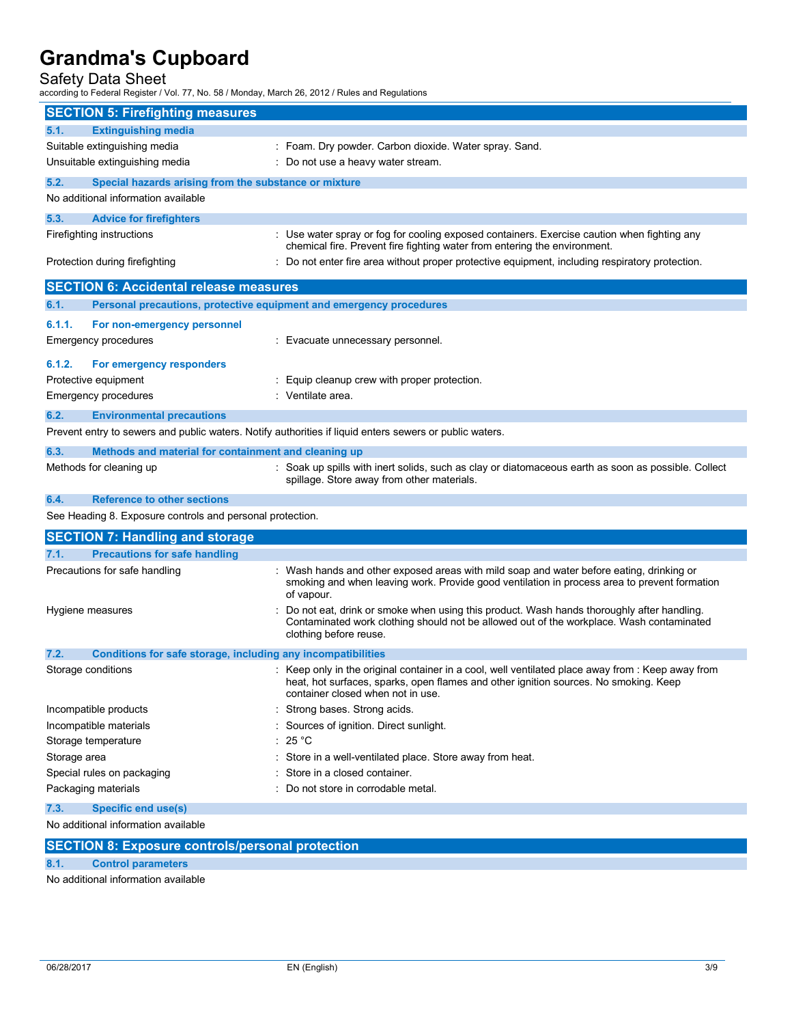Safety Data Sheet

according to Federal Register / Vol. 77, No. 58 / Monday, March 26, 2012 / Rules and Regulations

| <b>SECTION 5: Firefighting measures</b>                                     |                                                                                                                                                                                                                                |
|-----------------------------------------------------------------------------|--------------------------------------------------------------------------------------------------------------------------------------------------------------------------------------------------------------------------------|
| <b>Extinguishing media</b><br>5.1.                                          |                                                                                                                                                                                                                                |
| Suitable extinguishing media                                                | : Foam. Dry powder. Carbon dioxide. Water spray. Sand.                                                                                                                                                                         |
| Unsuitable extinguishing media                                              | : Do not use a heavy water stream.                                                                                                                                                                                             |
| 5.2.<br>Special hazards arising from the substance or mixture               |                                                                                                                                                                                                                                |
| No additional information available                                         |                                                                                                                                                                                                                                |
| 5.3.<br><b>Advice for firefighters</b>                                      |                                                                                                                                                                                                                                |
| Firefighting instructions                                                   | : Use water spray or fog for cooling exposed containers. Exercise caution when fighting any<br>chemical fire. Prevent fire fighting water from entering the environment.                                                       |
| Protection during firefighting                                              | Do not enter fire area without proper protective equipment, including respiratory protection.                                                                                                                                  |
| <b>SECTION 6: Accidental release measures</b>                               |                                                                                                                                                                                                                                |
| 6.1.<br>Personal precautions, protective equipment and emergency procedures |                                                                                                                                                                                                                                |
| 6.1.1.<br>For non-emergency personnel                                       |                                                                                                                                                                                                                                |
| Emergency procedures                                                        | : Evacuate unnecessary personnel.                                                                                                                                                                                              |
|                                                                             |                                                                                                                                                                                                                                |
| 6.1.2.<br>For emergency responders                                          |                                                                                                                                                                                                                                |
| Protective equipment                                                        | : Equip cleanup crew with proper protection.                                                                                                                                                                                   |
| Emergency procedures                                                        | : Ventilate area.                                                                                                                                                                                                              |
| 6.2.<br><b>Environmental precautions</b>                                    |                                                                                                                                                                                                                                |
|                                                                             | Prevent entry to sewers and public waters. Notify authorities if liquid enters sewers or public waters.                                                                                                                        |
| 6.3.<br>Methods and material for containment and cleaning up                |                                                                                                                                                                                                                                |
| Methods for cleaning up                                                     | : Soak up spills with inert solids, such as clay or diatomaceous earth as soon as possible. Collect<br>spillage. Store away from other materials.                                                                              |
| <b>Reference to other sections</b><br>6.4.                                  |                                                                                                                                                                                                                                |
| See Heading 8. Exposure controls and personal protection.                   |                                                                                                                                                                                                                                |
| <b>SECTION 7: Handling and storage</b>                                      |                                                                                                                                                                                                                                |
| <b>Precautions for safe handling</b><br>7.1.                                |                                                                                                                                                                                                                                |
| Precautions for safe handling                                               | : Wash hands and other exposed areas with mild soap and water before eating, drinking or<br>smoking and when leaving work. Provide good ventilation in process area to prevent formation<br>of vapour.                         |
| Hygiene measures                                                            | Do not eat, drink or smoke when using this product. Wash hands thoroughly after handling.<br>Contaminated work clothing should not be allowed out of the workplace. Wash contaminated<br>clothing before reuse.                |
| 7.2.<br>Conditions for safe storage, including any incompatibilities        |                                                                                                                                                                                                                                |
| Storage conditions                                                          | : Keep only in the original container in a cool, well ventilated place away from : Keep away from<br>heat, hot surfaces, sparks, open flames and other ignition sources. No smoking. Keep<br>container closed when not in use. |
| Incompatible products                                                       | Strong bases. Strong acids.                                                                                                                                                                                                    |
| Incompatible materials                                                      | Sources of ignition. Direct sunlight.                                                                                                                                                                                          |
| Storage temperature                                                         | 25 °C                                                                                                                                                                                                                          |
| Storage area                                                                | Store in a well-ventilated place. Store away from heat.                                                                                                                                                                        |
| Special rules on packaging                                                  | Store in a closed container.                                                                                                                                                                                                   |
| Packaging materials                                                         | : Do not store in corrodable metal.                                                                                                                                                                                            |
| <b>Specific end use(s)</b><br>7.3.                                          |                                                                                                                                                                                                                                |
| No additional information available                                         |                                                                                                                                                                                                                                |
|                                                                             |                                                                                                                                                                                                                                |

**SECTION 8: Exposure controls/personal protection** 

**8.1. Control parameters**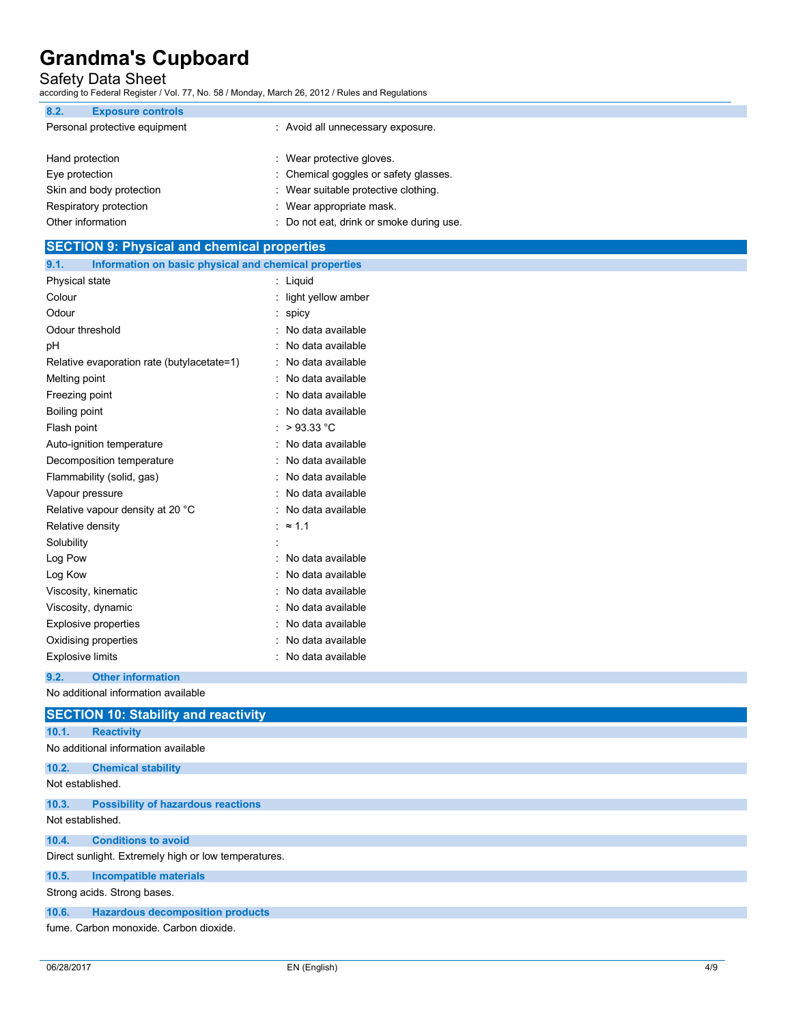Safety Data Sheet

according to Federal Register / Vol. 77, No. 58 / Monday, March 26, 2012 / Rules and Regulations

| 8.2.<br><b>Exposure controls</b> |                                        |  |
|----------------------------------|----------------------------------------|--|
| Personal protective equipment    | : Avoid all unnecessary exposure.      |  |
|                                  |                                        |  |
| Hand protection                  | : Wear protective gloves.              |  |
| Eye protection                   | : Chemical goggles or safety glasses.  |  |
| Skin and body protection         | : Wear suitable protective clothing.   |  |
| Respiratory protection           | : Wear appropriate mask.               |  |
| Other information                | Do not eat, drink or smoke during use. |  |

| <b>SECTION 9: Physical and chemical properties</b>            |                      |  |
|---------------------------------------------------------------|----------------------|--|
| Information on basic physical and chemical properties<br>9.1. |                      |  |
| Physical state                                                | : Liquid             |  |
| Colour                                                        | : light yellow amber |  |
| Odour                                                         | $:$ spicy            |  |
| Odour threshold                                               | No data available    |  |
| pH                                                            | No data available    |  |
| Relative evaporation rate (butylacetate=1)                    | No data available    |  |
| Melting point                                                 | No data available    |  |
| Freezing point                                                | No data available    |  |
| Boiling point                                                 | No data available    |  |
| Flash point                                                   | : $>93.33$ °C        |  |
| Auto-ignition temperature                                     | No data available    |  |
| Decomposition temperature                                     | No data available    |  |
| Flammability (solid, gas)                                     | No data available    |  |
| Vapour pressure                                               | No data available    |  |
| Relative vapour density at 20 °C                              | : No data available  |  |
| Relative density                                              | : $\approx$ 1.1      |  |
| Solubility                                                    |                      |  |
| Log Pow                                                       | No data available    |  |
| Log Kow                                                       | No data available    |  |
| Viscosity, kinematic                                          | No data available    |  |
| Viscosity, dynamic                                            | No data available    |  |
| <b>Explosive properties</b>                                   | No data available    |  |
| Oxidising properties                                          | : No data available  |  |
| <b>Explosive limits</b>                                       | No data available    |  |
| 9.2.<br><b>Other information</b>                              |                      |  |

| <b>SECTION 10: Stability and reactivity</b>          |  |  |  |
|------------------------------------------------------|--|--|--|
| 10.1.<br><b>Reactivity</b>                           |  |  |  |
| No additional information available                  |  |  |  |
| <b>Chemical stability</b><br>10.2.                   |  |  |  |
| Not established.                                     |  |  |  |
| <b>Possibility of hazardous reactions</b><br>10.3.   |  |  |  |
| Not established.                                     |  |  |  |
| <b>Conditions to avoid</b><br>10.4.                  |  |  |  |
| Direct sunlight. Extremely high or low temperatures. |  |  |  |
| <b>Incompatible materials</b><br>10.5.               |  |  |  |
| Strong acids. Strong bases.                          |  |  |  |
| <b>Hazardous decomposition products</b><br>10.6.     |  |  |  |
| fume. Carbon monoxide. Carbon dioxide.               |  |  |  |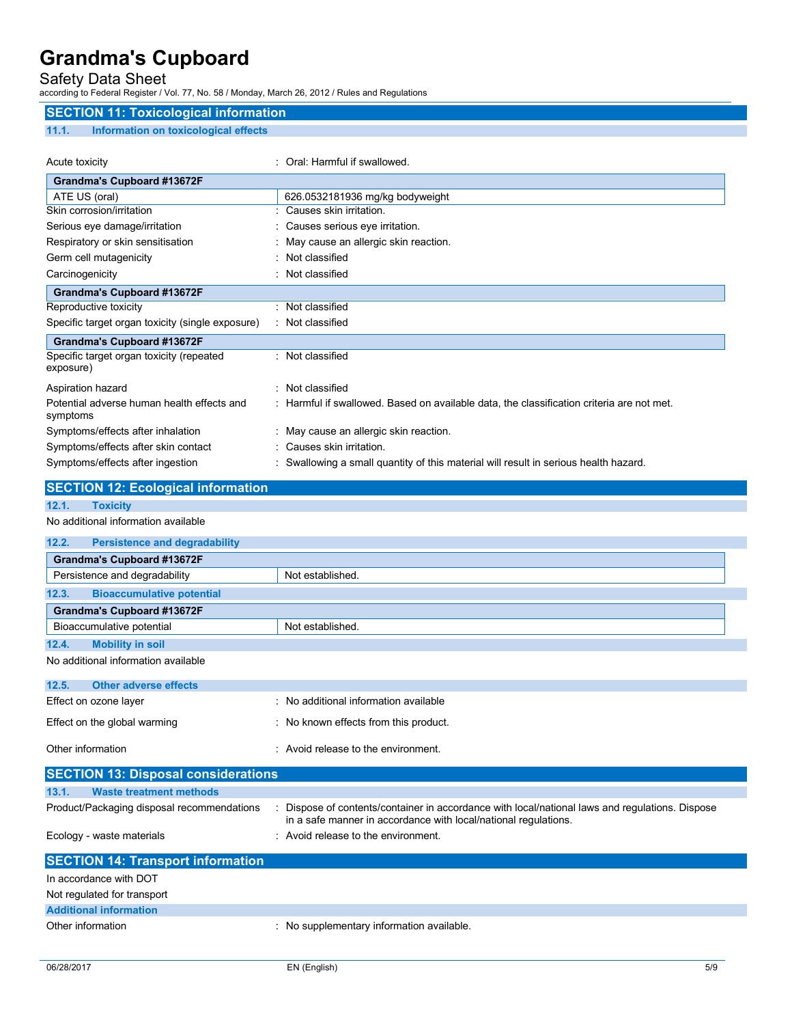Safety Data Sheet

according to Federal Register / Vol. 77, No. 58 / Monday, March 26, 2012 / Rules and Regulations

### **SECTION 11: Toxicological information**

### **11.1. Information on toxicological effects**

| Acute toxicity                                         | Oral: Harmful if swallowed.                                                               |
|--------------------------------------------------------|-------------------------------------------------------------------------------------------|
| Grandma's Cupboard #13672F                             |                                                                                           |
| ATE US (oral)                                          | 626.0532181936 mg/kg bodyweight                                                           |
| Skin corrosion/irritation                              | Causes skin irritation.                                                                   |
| Serious eye damage/irritation                          | Causes serious eye irritation.                                                            |
| Respiratory or skin sensitisation                      | : May cause an allergic skin reaction.                                                    |
| Germ cell mutagenicity                                 | : Not classified                                                                          |
| Carcinogenicity                                        | : Not classified                                                                          |
| Grandma's Cupboard #13672F                             |                                                                                           |
| Reproductive toxicity                                  | : Not classified                                                                          |
| Specific target organ toxicity (single exposure)       | : Not classified                                                                          |
| Grandma's Cupboard #13672F                             |                                                                                           |
| Specific target organ toxicity (repeated<br>exposure)  | Not classified                                                                            |
| Aspiration hazard                                      | Not classified                                                                            |
| Potential adverse human health effects and<br>symptoms | : Harmful if swallowed. Based on available data, the classification criteria are not met. |
| Symptoms/effects after inhalation                      | : May cause an allergic skin reaction.                                                    |
| Symptoms/effects after skin contact                    | Causes skin irritation.                                                                   |
| Symptoms/effects after ingestion                       | Swallowing a small quantity of this material will result in serious health hazard.        |

## **SECTION 12: Ecological information**

# **12.1. Toxicity**

| 12.2.<br><b>Persistence and degradability</b> |                                       |
|-----------------------------------------------|---------------------------------------|
| Grandma's Cupboard #13672F                    |                                       |
| Persistence and degradability                 | Not established.                      |
| <b>Bioaccumulative potential</b><br>12.3.     |                                       |
| Grandma's Cupboard #13672F                    |                                       |
| Bioaccumulative potential                     | Not established.                      |
| 12.4.<br><b>Mobility in soil</b>              |                                       |
| No additional information available           |                                       |
| <b>Other adverse effects</b><br>12.5.         |                                       |
| Effect on ozone layer                         | : No additional information available |
| Effect on the global warming                  | : No known effects from this product. |
| Other information                             | : Avoid release to the environment.   |
| <b>SECTION 13: Disposal considerations</b>    |                                       |

| 13.1.<br><b>Waste treatment methods</b>    |                                                                                                                                                                  |
|--------------------------------------------|------------------------------------------------------------------------------------------------------------------------------------------------------------------|
| Product/Packaging disposal recommendations | Dispose of contents/container in accordance with local/national laws and regulations. Dispose<br>in a safe manner in accordance with local/national regulations. |
| Ecology - waste materials                  | : Avoid release to the environment.                                                                                                                              |
|                                            |                                                                                                                                                                  |
| <b>SECTION 14: Transport information</b>   |                                                                                                                                                                  |
| In accordance with DOT                     |                                                                                                                                                                  |
| Not regulated for transport                |                                                                                                                                                                  |
| <b>Additional information</b>              |                                                                                                                                                                  |
| Other information                          | : No supplementary information available.                                                                                                                        |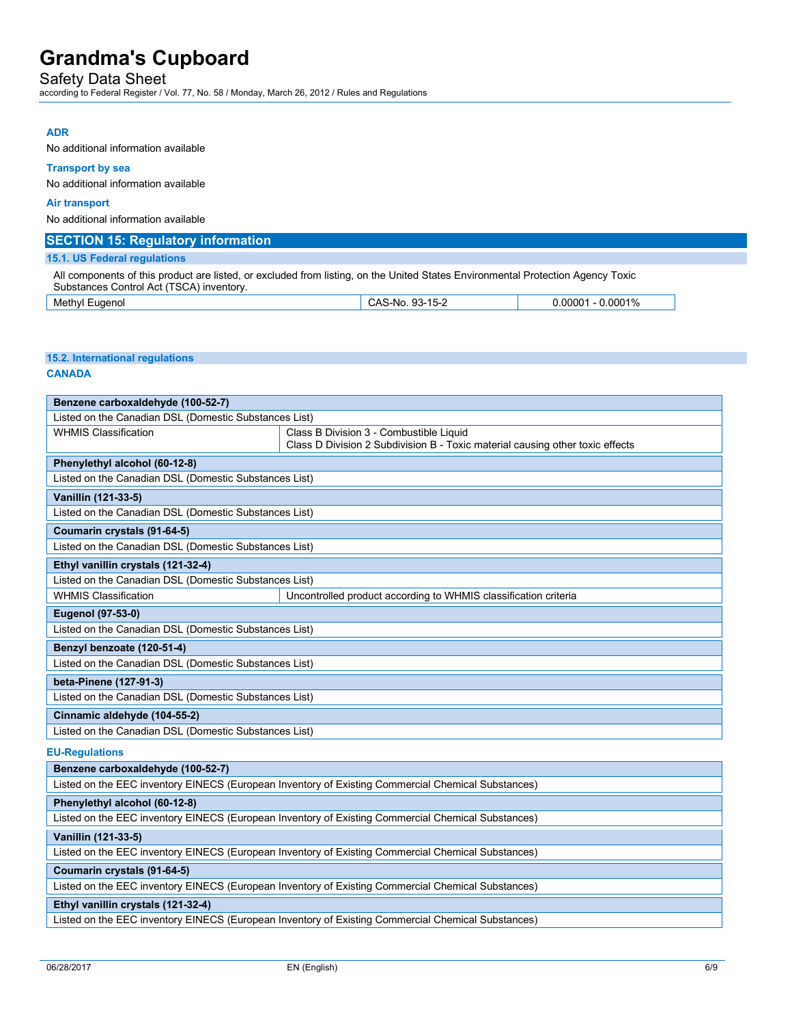## Safety Data Sheet

according to Federal Register / Vol. 77, No. 58 / Monday, March 26, 2012 / Rules and Regulations

## **ADR**

No additional information available

### **Transport by sea**

No additional information available

### **Air transport**

No additional information available

| <b>SECTION 15: Regulatory information</b>                                                                                                                                   |                 |                      |  |
|-----------------------------------------------------------------------------------------------------------------------------------------------------------------------------|-----------------|----------------------|--|
| 15.1. US Federal regulations                                                                                                                                                |                 |                      |  |
| All components of this product are listed, or excluded from listing, on the United States Environmental Protection Agency Toxic<br>Substances Control Act (TSCA) inventory. |                 |                      |  |
| Methyl Eugenol                                                                                                                                                              | CAS-No. 93-15-2 | $0.00001 - 0.0001\%$ |  |

### **15.2. International regulations**

#### **CANADA**

| Benzene carboxaldehyde (100-52-7)                                                                  |                                                                               |  |  |  |
|----------------------------------------------------------------------------------------------------|-------------------------------------------------------------------------------|--|--|--|
| Listed on the Canadian DSL (Domestic Substances List)                                              |                                                                               |  |  |  |
| <b>WHMIS Classification</b>                                                                        | Class B Division 3 - Combustible Liquid                                       |  |  |  |
|                                                                                                    | Class D Division 2 Subdivision B - Toxic material causing other toxic effects |  |  |  |
| Phenylethyl alcohol (60-12-8)                                                                      |                                                                               |  |  |  |
| Listed on the Canadian DSL (Domestic Substances List)                                              |                                                                               |  |  |  |
| Vanillin (121-33-5)                                                                                |                                                                               |  |  |  |
| Listed on the Canadian DSL (Domestic Substances List)                                              |                                                                               |  |  |  |
| Coumarin crystals (91-64-5)                                                                        |                                                                               |  |  |  |
| Listed on the Canadian DSL (Domestic Substances List)                                              |                                                                               |  |  |  |
| Ethyl vanillin crystals (121-32-4)                                                                 |                                                                               |  |  |  |
| Listed on the Canadian DSL (Domestic Substances List)                                              |                                                                               |  |  |  |
| <b>WHMIS Classification</b>                                                                        | Uncontrolled product according to WHMIS classification criteria               |  |  |  |
| <b>Eugenol (97-53-0)</b>                                                                           |                                                                               |  |  |  |
| Listed on the Canadian DSL (Domestic Substances List)                                              |                                                                               |  |  |  |
| Benzyl benzoate (120-51-4)                                                                         |                                                                               |  |  |  |
| Listed on the Canadian DSL (Domestic Substances List)                                              |                                                                               |  |  |  |
| beta-Pinene (127-91-3)                                                                             |                                                                               |  |  |  |
| Listed on the Canadian DSL (Domestic Substances List)                                              |                                                                               |  |  |  |
| Cinnamic aldehyde (104-55-2)                                                                       |                                                                               |  |  |  |
| Listed on the Canadian DSL (Domestic Substances List)                                              |                                                                               |  |  |  |
| <b>EU-Regulations</b>                                                                              |                                                                               |  |  |  |
| Benzene carboxaldehyde (100-52-7)                                                                  |                                                                               |  |  |  |
| Listed on the EEC inventory EINECS (European Inventory of Existing Commercial Chemical Substances) |                                                                               |  |  |  |
| Phenylethyl alcohol (60-12-8)                                                                      |                                                                               |  |  |  |
| Listed on the EEC inventory EINECS (European Inventory of Existing Commercial Chemical Substances) |                                                                               |  |  |  |
| Vanillin (121-33-5)                                                                                |                                                                               |  |  |  |
| Listed on the EEC inventory EINECS (European Inventory of Existing Commercial Chemical Substances) |                                                                               |  |  |  |
| Coumarin crystals (91-64-5)                                                                        |                                                                               |  |  |  |
| Listed on the EEC inventory EINECS (European Inventory of Existing Commercial Chemical Substances) |                                                                               |  |  |  |
| Ethyl vanillin crystals (121-32-4)                                                                 |                                                                               |  |  |  |
| Listed on the EEC inventory EINECS (European Inventory of Existing Commercial Chemical Substances) |                                                                               |  |  |  |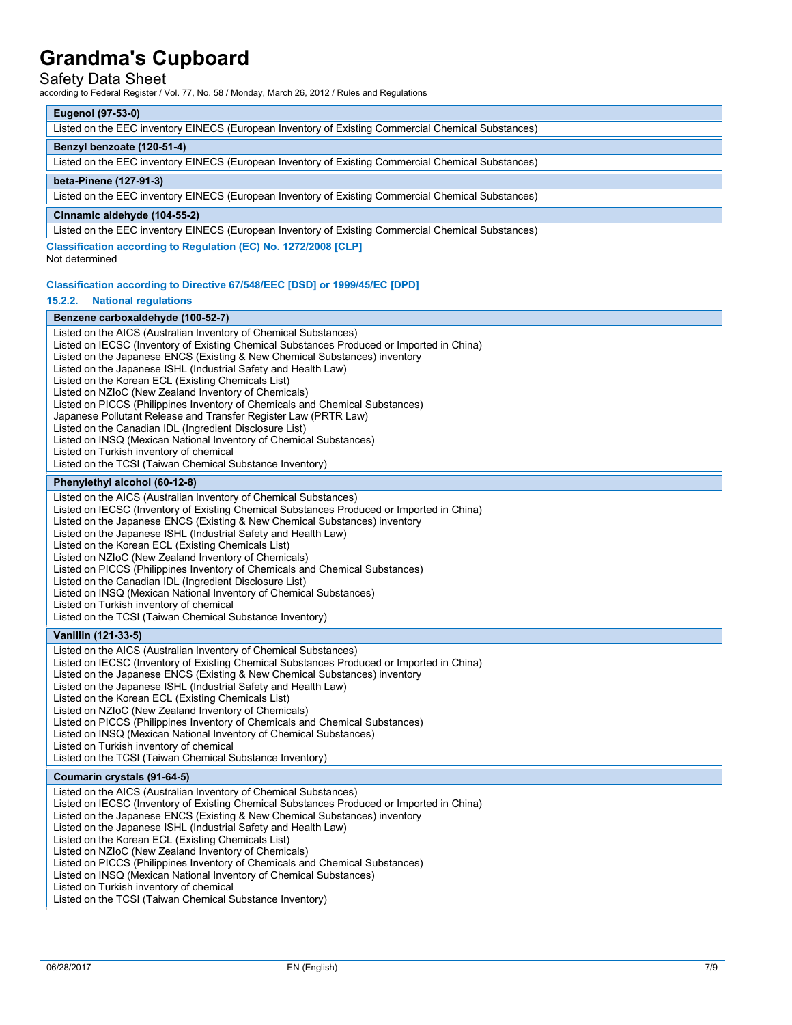## Safety Data Sheet

according to Federal Register / Vol. 77, No. 58 / Monday, March 26, 2012 / Rules and Regulations

#### **Eugenol (97-53-0)**

| Listed on the EEC inventory EINECS (European Inventory of Existing Commercial Chemical Substances) |  |  |
|----------------------------------------------------------------------------------------------------|--|--|
| Benzyl benzoate (120-51-4)                                                                         |  |  |
| Listed on the EEC inventory EINECS (European Inventory of Existing Commercial Chemical Substances) |  |  |
| beta-Pinene (127-91-3)                                                                             |  |  |
| Listed on the EEC inventory EINECS (European Inventory of Existing Commercial Chemical Substances) |  |  |
| Cinnamic aldehyde (104-55-2)                                                                       |  |  |
| Listed on the EEC inventory EINECS (European Inventory of Existing Commercial Chemical Substances) |  |  |
| Classification according to Regulation (EC) No. 1272/2008 [CLP]                                    |  |  |

Not determined

#### **Classification according to Directive 67/548/EEC [DSD] or 1999/45/EC [DPD]**

#### **15.2.2. National regulations**

#### **Benzene carboxaldehyde (100-52-7)**  Listed on the AICS (Australian Inventory of Chemical Substances) Listed on IECSC (Inventory of Existing Chemical Substances Produced or Imported in China) Listed on the Japanese ENCS (Existing & New Chemical Substances) inventory Listed on the Japanese ISHL (Industrial Safety and Health Law) Listed on the Korean ECL (Existing Chemicals List) Listed on NZIoC (New Zealand Inventory of Chemicals) Listed on PICCS (Philippines Inventory of Chemicals and Chemical Substances) Japanese Pollutant Release and Transfer Register Law (PRTR Law) Listed on the Canadian IDL (Ingredient Disclosure List) Listed on INSQ (Mexican National Inventory of Chemical Substances) Listed on Turkish inventory of chemical Listed on the TCSI (Taiwan Chemical Substance Inventory) **Phenylethyl alcohol (60-12-8)**  Listed on the AICS (Australian Inventory of Chemical Substances) Listed on IECSC (Inventory of Existing Chemical Substances Produced or Imported in China) Listed on the Japanese ENCS (Existing & New Chemical Substances) inventory Listed on the Japanese ISHL (Industrial Safety and Health Law) Listed on the Korean ECL (Existing Chemicals List) Listed on NZIoC (New Zealand Inventory of Chemicals) Listed on PICCS (Philippines Inventory of Chemicals and Chemical Substances) Listed on the Canadian IDL (Ingredient Disclosure List) Listed on INSQ (Mexican National Inventory of Chemical Substances) Listed on Turkish inventory of chemical Listed on the TCSI (Taiwan Chemical Substance Inventory) **Vanillin (121-33-5)**  Listed on the AICS (Australian Inventory of Chemical Substances) Listed on IECSC (Inventory of Existing Chemical Substances Produced or Imported in China) Listed on the Japanese ENCS (Existing & New Chemical Substances) inventory Listed on the Japanese ISHL (Industrial Safety and Health Law) Listed on the Korean ECL (Existing Chemicals List) Listed on NZIoC (New Zealand Inventory of Chemicals) Listed on PICCS (Philippines Inventory of Chemicals and Chemical Substances) Listed on INSQ (Mexican National Inventory of Chemical Substances) Listed on Turkish inventory of chemical Listed on the TCSI (Taiwan Chemical Substance Inventory)

#### **Coumarin crystals (91-64-5)**

Listed on the AICS (Australian Inventory of Chemical Substances) Listed on IECSC (Inventory of Existing Chemical Substances Produced or Imported in China) Listed on the Japanese ENCS (Existing & New Chemical Substances) inventory Listed on the Japanese ISHL (Industrial Safety and Health Law) Listed on the Korean ECL (Existing Chemicals List) Listed on NZIoC (New Zealand Inventory of Chemicals) Listed on PICCS (Philippines Inventory of Chemicals and Chemical Substances) Listed on INSQ (Mexican National Inventory of Chemical Substances) Listed on Turkish inventory of chemical Listed on the TCSI (Taiwan Chemical Substance Inventory)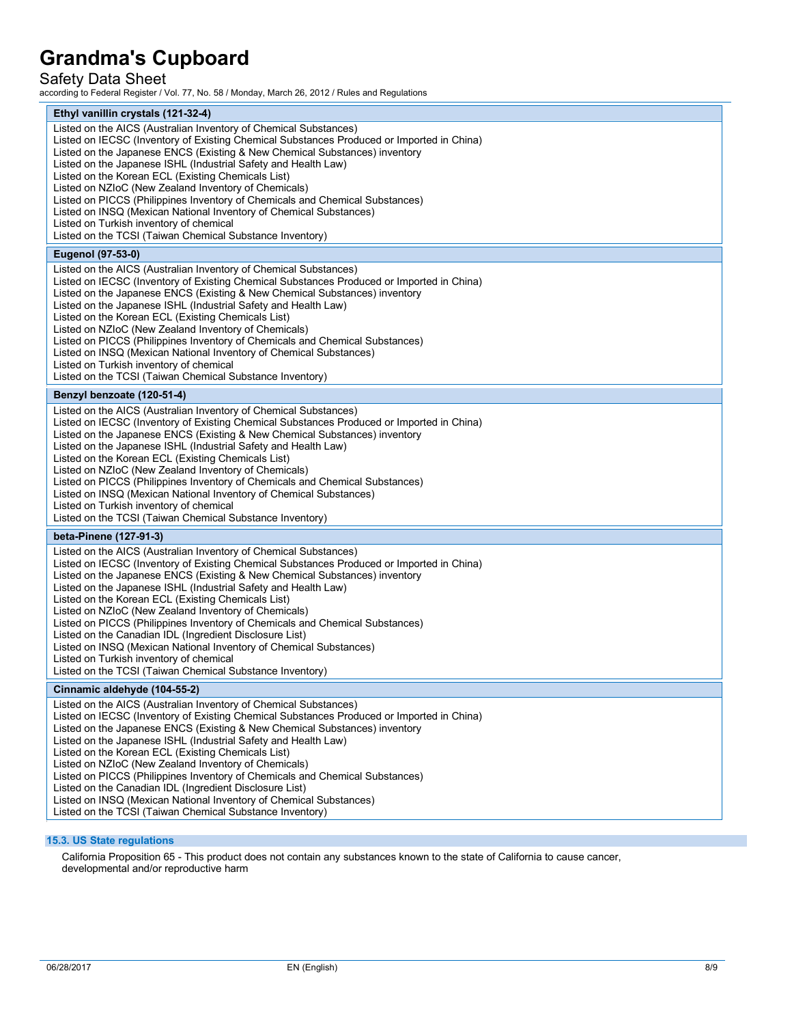# Safety Data Sheet

according to Federal Register / Vol. 77, No. 58 / Monday, March 26, 2012 / Rules and Regulations

| Ethyl vanillin crystals (121-32-4)                                                                                                                                                                                                                                                                                                                                                                                                                                                                                                                                                                                                                                                                                                                  |  |  |
|-----------------------------------------------------------------------------------------------------------------------------------------------------------------------------------------------------------------------------------------------------------------------------------------------------------------------------------------------------------------------------------------------------------------------------------------------------------------------------------------------------------------------------------------------------------------------------------------------------------------------------------------------------------------------------------------------------------------------------------------------------|--|--|
| Listed on the AICS (Australian Inventory of Chemical Substances)<br>Listed on IECSC (Inventory of Existing Chemical Substances Produced or Imported in China)<br>Listed on the Japanese ENCS (Existing & New Chemical Substances) inventory<br>Listed on the Japanese ISHL (Industrial Safety and Health Law)<br>Listed on the Korean ECL (Existing Chemicals List)<br>Listed on NZIoC (New Zealand Inventory of Chemicals)<br>Listed on PICCS (Philippines Inventory of Chemicals and Chemical Substances)<br>Listed on INSQ (Mexican National Inventory of Chemical Substances)<br>Listed on Turkish inventory of chemical<br>Listed on the TCSI (Taiwan Chemical Substance Inventory)                                                            |  |  |
| <b>Eugenol (97-53-0)</b>                                                                                                                                                                                                                                                                                                                                                                                                                                                                                                                                                                                                                                                                                                                            |  |  |
| Listed on the AICS (Australian Inventory of Chemical Substances)<br>Listed on IECSC (Inventory of Existing Chemical Substances Produced or Imported in China)<br>Listed on the Japanese ENCS (Existing & New Chemical Substances) inventory<br>Listed on the Japanese ISHL (Industrial Safety and Health Law)<br>Listed on the Korean ECL (Existing Chemicals List)<br>Listed on NZIoC (New Zealand Inventory of Chemicals)<br>Listed on PICCS (Philippines Inventory of Chemicals and Chemical Substances)<br>Listed on INSQ (Mexican National Inventory of Chemical Substances)<br>Listed on Turkish inventory of chemical<br>Listed on the TCSI (Taiwan Chemical Substance Inventory)                                                            |  |  |
| Benzyl benzoate (120-51-4)                                                                                                                                                                                                                                                                                                                                                                                                                                                                                                                                                                                                                                                                                                                          |  |  |
| Listed on the AICS (Australian Inventory of Chemical Substances)<br>Listed on IECSC (Inventory of Existing Chemical Substances Produced or Imported in China)<br>Listed on the Japanese ENCS (Existing & New Chemical Substances) inventory<br>Listed on the Japanese ISHL (Industrial Safety and Health Law)<br>Listed on the Korean ECL (Existing Chemicals List)<br>Listed on NZIoC (New Zealand Inventory of Chemicals)<br>Listed on PICCS (Philippines Inventory of Chemicals and Chemical Substances)<br>Listed on INSQ (Mexican National Inventory of Chemical Substances)<br>Listed on Turkish inventory of chemical<br>Listed on the TCSI (Taiwan Chemical Substance Inventory)                                                            |  |  |
| beta-Pinene (127-91-3)                                                                                                                                                                                                                                                                                                                                                                                                                                                                                                                                                                                                                                                                                                                              |  |  |
| Listed on the AICS (Australian Inventory of Chemical Substances)<br>Listed on IECSC (Inventory of Existing Chemical Substances Produced or Imported in China)<br>Listed on the Japanese ENCS (Existing & New Chemical Substances) inventory<br>Listed on the Japanese ISHL (Industrial Safety and Health Law)<br>Listed on the Korean ECL (Existing Chemicals List)<br>Listed on NZIoC (New Zealand Inventory of Chemicals)<br>Listed on PICCS (Philippines Inventory of Chemicals and Chemical Substances)<br>Listed on the Canadian IDL (Ingredient Disclosure List)<br>Listed on INSQ (Mexican National Inventory of Chemical Substances)<br>Listed on Turkish inventory of chemical<br>Listed on the TCSI (Taiwan Chemical Substance Inventory) |  |  |
| Cinnamic aldehyde (104-55-2)                                                                                                                                                                                                                                                                                                                                                                                                                                                                                                                                                                                                                                                                                                                        |  |  |
| Listed on the AICS (Australian Inventory of Chemical Substances)<br>Listed on IECSC (Inventory of Existing Chemical Substances Produced or Imported in China)<br>Listed on the Japanese ENCS (Existing & New Chemical Substances) inventory<br>Listed on the Japanese ISHL (Industrial Safety and Health Law)<br>Listed on the Korean ECL (Existing Chemicals List)<br>Listed on NZIoC (New Zealand Inventory of Chemicals)<br>Listed on PICCS (Philippines Inventory of Chemicals and Chemical Substances)<br>Listed on the Canadian IDL (Ingredient Disclosure List)<br>Listed on INSQ (Mexican National Inventory of Chemical Substances)<br>Listed on the TCSI (Taiwan Chemical Substance Inventory)                                            |  |  |

### **15.3. US State regulations**

California Proposition 65 - This product does not contain any substances known to the state of California to cause cancer, developmental and/or reproductive harm